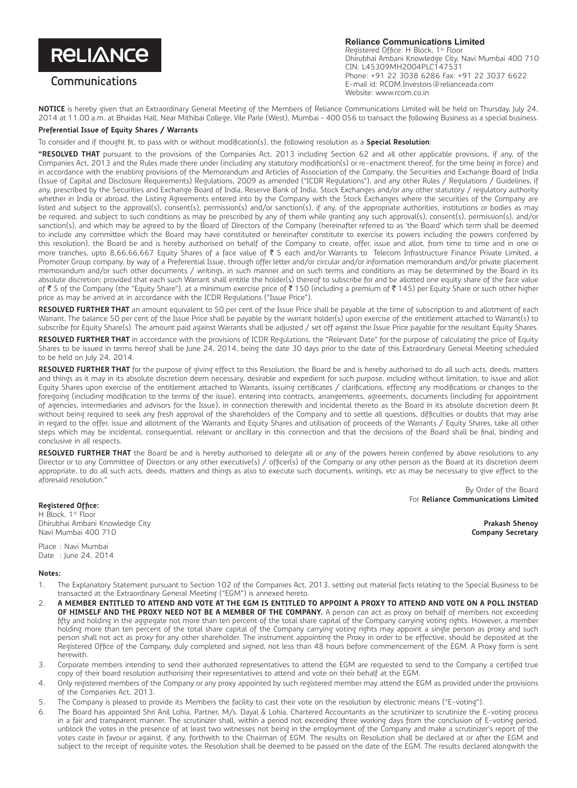# **RELIANCE**

## **Communications**

#### **Reliance Communications Limited** Registered Office: H Block, 1st Floor

Dhirubhai Ambani Knowledge City, Navi Mumbai 400 710 CIN: L45309MH2004PLC147531 Phone: +91 22 3038 6286 Fax: +91 22 3037 6622 E-mail id: RCOM.Investors@relianceada.com Website: www.rcom.co.in

**NOTICE** is hereby given that an Extraordinary General Meeting of the Members of Reliance Communications Limited will be held on Thursday, July 24, 2014 at 11.00 a.m. at Bhaidas Hall, Near Mithibai College, Vile Parle (West), Mumbai – 400 056 to transact the following Business as a special business.

### **Preferential Issue of Equity Shares / Warrants**

To consider and if thought fit, to pass with or without modification(s), the following resolution as a **Special Resolution**:

**"RESOLVED THAT** pursuant to the provisions of the Companies Act, 2013 including Section 62 and all other applicable provisions, if any, of the Companies Act, 2013 and the Rules made there under (including any statutory modification(s) or re-enactment thereof, for the time being in force) and in accordance with the enabling provisions of the Memorandum and Articles of Association of the Company, the Securities and Exchange Board of India (Issue of Capital and Disclosure Requirements) Regulations, 2009 as amended ("ICDR Regulations"), and any other Rules / Regulations / Guidelines, if any, prescribed by the Securities and Exchange Board of India, Reserve Bank of India, Stock Exchanges and/or any other statutory / regulatory authority whether in India or abroad, the Listing Agreements entered into by the Company with the Stock Exchanges where the securities of the Company are listed and subject to the approval(s), consent(s), permission(s) and/or sanction(s), if any, of the appropriate authorities, institutions or bodies as may be required, and subject to such conditions as may be prescribed by any of them while granting any such approval(s), consent(s), permission(s), and/or sanction(s), and which may be agreed to by the Board of Directors of the Company (hereinafter referred to as 'the Board' which term shall be deemed to include any committee which the Board may have constituted or hereinafter constitute to exercise its powers including the powers conferred by this resolution), the Board be and is hereby authorised on behalf of the Company to create, offer, issue and allot, from time to time and in one or more tranches, upto 8,66,66,667 Equity Shares of a face value of ₹ 5 each and/or Warrants to Telecom Infrastructure Finance Private Limited, a Promoter Group company, by way of a Preferential Issue, through offer letter and/or circular and/or information memorandum and/or private placement memorandum and/or such other documents / writings, in such manner and on such terms and conditions as may be determined by the Board in its absolute discretion; provided that each such Warrant shall entitle the holder(s) thereof to subscribe for and be allotted one equity share of the face value of ₹ 5 of the Company (the "Equity Share"), at a minimum exercise price of ₹ 150 (including a premium of ₹ 145) per Equity Share or such other higher price as may be arrived at in accordance with the ICDR Regulations ("Issue Price").

**RESOLVED FURTHER THAT** an amount equivalent to 50 per cent of the Issue Price shall be payable at the time of subscription to and allotment of each Warrant. The balance 50 per cent of the Issue Price shall be payable by the warrant holder(s) upon exercise of the entitlement attached to Warrant(s) to subscribe for Equity Share(s). The amount paid against Warrants shall be adjusted / set off against the Issue Price payable for the resultant Equity Shares.

**RESOLVED FURTHER THAT** in accordance with the provisions of ICDR Regulations, the "Relevant Date" for the purpose of calculating the price of Equity Shares to be issued in terms hereof shall be June 24, 2014, being the date 30 days prior to the date of this Extraordinary General Meeting scheduled to be held on July 24, 2014.

**RESOLVED FURTHER THAT** for the purpose of giving effect to this Resolution, the Board be and is hereby authorised to do all such acts, deeds, matters and things as it may in its absolute discretion deem necessary, desirable and expedient for such purpose, including without limitation, to issue and allot Equity Shares upon exercise of the entitlement attached to Warrants, issuing certificates / clarifications, effecting any modifications or changes to the foregoing (including modification to the terms of the issue), entering into contracts, arrangements, agreements, documents (including for appointment of agencies, intermediaries and advisors for the Issue), in connection therewith and incidental thereto as the Board in its absolute discretion deem fit without being required to seek any fresh approval of the shareholders of the Company and to settle all questions, difficulties or doubts that may arise in regard to the offer, issue and allotment of the Warrants and Equity Shares and utilisation of proceeds of the Warrants / Equity Shares, take all other steps which may be incidental, consequential, relevant or ancillary in this connection and that the decisions of the Board shall be final, binding and conclusive in all respects.

**RESOLVED FURTHER THAT** the Board be and is hereby authorised to delegate all or any of the powers herein conferred by above resolutions to any Director or to any Committee of Directors or any other executive(s) / officer(s) of the Company or any other person as the Board at its discretion deem appropriate, to do all such acts, deeds, matters and things as also to execute such documents, writings, etc as may be necessary to give effect to the aforesaid resolution."

> By Order of the Board For **Reliance Communications Limited**

**Registered Office:** H Block, 1<sup>st</sup> Floor Dhirubhai Ambani Knowledge City Navi Mumbai 400 710

Place : Navi Mumbai Date : June 24, 2014

### **Notes:**

- 1. The Explanatory Statement pursuant to Section 102 of the Companies Act, 2013, setting out material facts relating to the Special Business to be transacted at the Extraordinary General Meeting ("EGM") is annexed hereto.
- 2. **A MEMBER ENTITLED TO ATTEND AND VOTE AT THE EGM IS ENTITLED TO APPOINT A PROXY TO ATTEND AND VOTE ON A POLL INSTEAD**  OF HIMSELF AND THE PROXY NEED NOT BE A MEMBER OF THE COMPANY. A person can act as proxy on behalf of members not exceeding fifty and holding in the aggregate not more than ten percent of the total share capital of the Company carrying voting rights. However, a member holding more than ten percent of the total share capital of the Company carrying voting rights may appoint a single person as proxy and such person shall not act as proxy for any other shareholder. The instrument appointing the Proxy in order to be effective, should be deposited at the Registered Office of the Company, duly completed and signed, not less than 48 hours before commencement of the EGM. A Proxy form is sent herewith.
- 3. Corporate members intending to send their authorized representatives to attend the EGM are requested to send to the Company a certified true copy of their board resolution authorising their representatives to attend and vote on their behalf at the EGM.
- 4. Only registered members of the Company or any proxy appointed by such registered member may attend the EGM as provided under the provisions of the Companies Act, 2013.
- 5. The Company is pleased to provide its Members the facility to cast their vote on the resolution by electronic means ("E-voting").
- 6. The Board has appointed Shri Anil Lohia, Partner, M/s. Dayal & Lohia, Chartered Accountants as the scrutinizer to scrutinize the E-voting process in a fair and transparent manner. The scrutinizer shall, within a period not exceeding three working days from the conclusion of E-voting period, unblock the votes in the presence of at least two witnesses not being in the employment of the Company and make a scrutinizer's report of the votes caste in favour or against, if any, forthwith to the Chairman of EGM. The results on Resolution shall be declared at or after the EGM and subject to the receipt of requisite votes, the Resolution shall be deemed to be passed on the date of the EGM. The results declared alongwith the

**Prakash Shenoy Company Secretary**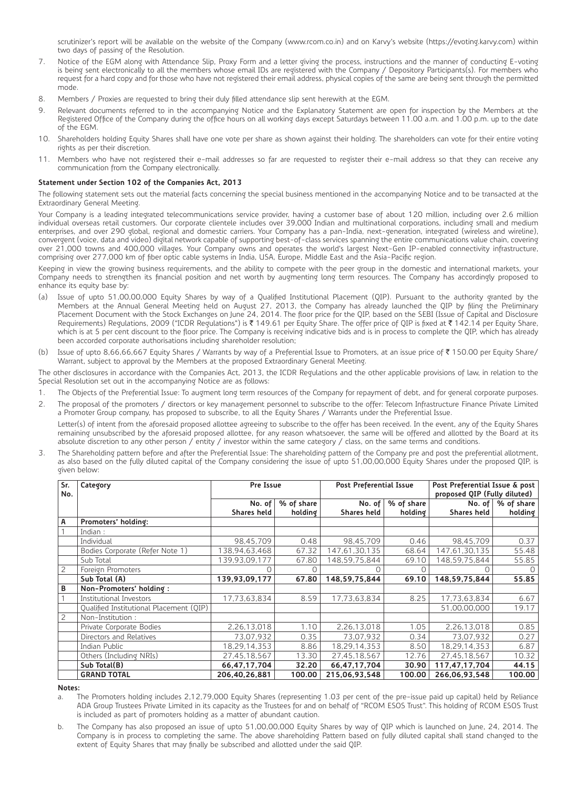scrutinizer's report will be available on the website of the Company (www.rcom.co.in) and on Karvy's website (https://evoting.karvy.com) within two days of passing of the Resolution.

- 7. Notice of the EGM along with Attendance Slip, Proxy Form and a letter giving the process, instructions and the manner of conducting E-voting is being sent electronically to all the members whose email IDs are registered with the Company / Depository Participants(s). For members who request for a hard copy and for those who have not registered their email address, physical copies of the same are being sent through the permitted mode.
- 8. Members / Proxies are requested to bring their duly filled attendance slip sent herewith at the EGM.
- Relevant documents referred to in the accompanying Notice and the Explanatory Statement are open for inspection by the Members at the Registered Office of the Company during the office hours on all working days except Saturdays between 11.00 a.m. and 1.00 p.m. up to the date of the EGM.
- 10. Shareholders holding Equity Shares shall have one vote per share as shown against their holding. The shareholders can vote for their entire voting rights as per their discretion.
- 11. Members who have not registered their e-mail addresses so far are requested to register their e-mail address so that they can receive any communication from the Company electronically.

### **Statement under Section 102 of the Companies Act, 2013**

The following statement sets out the material facts concerning the special business mentioned in the accompanying Notice and to be transacted at the Extraordinary General Meeting.

Your Company is a leading integrated telecommunications service provider, having a customer base of about 120 million, including over 2.6 million individual overseas retail customers. Our corporate clientele includes over 39,000 Indian and multinational corporations, including small and medium enterprises, and over 290 global, regional and domestic carriers. Your Company has a pan-India, next-generation, integrated (wireless and wireline), convergent (voice, data and video) digital network capable of supporting best-of-class services spanning the entire communications value chain, covering over 21,000 towns and 400,000 villages. Your Company owns and operates the world's largest Next-Gen IP-enabled connectivity infrastructure, comprising over 277,000 km of fiber optic cable systems in India, USA, Europe, Middle East and the Asia-Pacific region.

Keeping in view the growing business requirements, and the ability to compete with the peer group in the domestic and international markets, your Company needs to strengthen its financial position and net worth by augmenting long term resources. The Company has accordingly proposed to enhance its equity base by:

- (a) Issue of upto 51,00,00,000 Equity Shares by way of a Qualified Institutional Placement (QIP). Pursuant to the authority granted by the Members at the Annual General Meeting held on August 27, 2013, the Company has already launched the QIP by filing the Preliminary Placement Document with the Stock Exchanges on June 24, 2014. The floor price for the QIP, based on the SEBI (Issue of Capital and Disclosure Requirements) Regulations, 2009 ("ICDR Regulations") is ₹ 149.61 per Equity Share. The offer price of QIP is fixed at ₹ 142.14 per Equity Share, which is at 5 per cent discount to the floor price. The Company is receiving indicative bids and is in process to complete the QIP, which has already been accorded corporate authorisations including shareholder resolution;
- (b) Issue of upto 8,66,66,667 Equity Shares / Warrants by way of a Preferential Issue to Promoters, at an issue price of ₹150.00 per Equity Share/ Warrant, subject to approval by the Members at the proposed Extraordinary General Meeting.

The other disclosures in accordance with the Companies Act, 2013, the ICDR Regulations and the other applicable provisions of law, in relation to the Special Resolution set out in the accompanying Notice are as follows:

- 1. The Objects of the Preferential Issue: To augment long term resources of the Company for repayment of debt, and for general corporate purposes.
- 2. The proposal of the promoters / directors or key management personnel to subscribe to the offer: Telecom Infrastructure Finance Private Limited a Promoter Group company, has proposed to subscribe, to all the Equity Shares / Warrants under the Preferential Issue. Letter(s) of intent from the aforesaid proposed allottee agreeing to subscribe to the offer has been received. In the event, any of the Equity Shares remaining unsubscribed by the aforesaid proposed allottee, for any reason whatsoever, the same will be offered and allotted by the Board at its absolute discretion to any other person / entity / investor within the same category / class, on the same terms and conditions.
- 3. The Shareholding pattern before and after the Preferential Issue: The shareholding pattern of the Company pre and post the preferential allotment, as also based on the fully diluted capital of the Company considering the issue of upto 51,00,00,000 Equity Shares under the proposed QIP, is given below:

| Sr.<br>No.     | Category                                | Pre Issue     |            | <b>Post Preferential Issue</b> |            | Post Preferential Issue & post<br>proposed QIP (Fully diluted) |                           |
|----------------|-----------------------------------------|---------------|------------|--------------------------------|------------|----------------------------------------------------------------|---------------------------|
|                |                                         | No. of $ $    | % of share | No. of                         | % of share |                                                                | No. of $\vert$ % of share |
|                |                                         | Shares held   | holding    | <b>Shares held</b>             | holding    | Shares held                                                    | holding                   |
| А              | Promoters' holding:                     |               |            |                                |            |                                                                |                           |
|                | Indian $:$                              |               |            |                                |            |                                                                |                           |
|                | Individual                              | 98,45,709     | 0.48       | 98,45,709                      | 0.46       | 98,45,709                                                      | 0.37                      |
|                | Bodies Corporate (Refer Note 1)         | 138,94,63,468 | 67.32      | 47,61,30,135                   | 68.64      | 147,61,30,135                                                  | 55.48                     |
|                | Sub Total                               | 139,93,09,177 | 67.80      | 148,59,75,844                  | 69.10      | 148,59,75,844                                                  | 55.85                     |
| $\overline{c}$ | Foreign Promoters                       |               |            |                                |            |                                                                |                           |
|                | Sub Total (A)                           | 139,93,09,177 | 67.80      | 148,59,75,844                  | 69.10      | 148,59,75,844                                                  | 55.85                     |
| В              | Non-Promoters' holding:                 |               |            |                                |            |                                                                |                           |
|                | Institutional Investors                 | 17,73,63,834  | 8.59       | 17,73,63,834                   | 8.25       | 17,73,63,834                                                   | 6.67                      |
|                | Oualified Institutional Placement (OIP) |               |            |                                |            | 51,00,00,000                                                   | 19.17                     |
| 2              | Non-Institution:                        |               |            |                                |            |                                                                |                           |
|                | Private Corporate Bodies                | 2,26,13,018   | 1.10       | 2,26,13,018                    | 1.05       | 2,26,13,018                                                    | 0.85                      |
|                | Directors and Relatives                 | 73.07.932     | 0.35       | 73,07,932                      | 0.34       | 73,07,932                                                      | 0.27                      |
|                | Indian Public                           | 18,29,14,353  | 8.86       | 18,29,14,353                   | 8.50       | 18,29,14,353                                                   | 6.87                      |
|                | Others (Including NRIs)                 | 27,45,18,567  | 13.30      | 27,45,18,567                   | 12.76      | 27,45,18,567                                                   | 10.32                     |
|                | Sub Total(B)                            | 66,47,17,704  | 32.20      | 66,47,17,704                   | 30.90      | 117,47,17,704                                                  | 44.15                     |
|                | <b>GRAND TOTAL</b>                      | 206,40,26,881 | 100.00     | 215,06,93,548                  | 100.00     | 266,06,93,548                                                  | 100.00                    |

#### **Notes:**

a. The Promoters holding includes 2,12,79,000 Equity Shares (representing 1.03 per cent of the pre-issue paid up capital) held by Reliance ADA Group Trustees Private Limited in its capacity as the Trustees for and on behalf of "RCOM ESOS Trust". This holding of RCOM ESOS Trust is included as part of promoters holding as a matter of abundant caution.

b. The Company has also proposed an issue of upto 51,00,00,000 Equity Shares by way of QIP which is launched on June, 24, 2014. The Company is in process to completing the same. The above shareholding Pattern based on fully diluted capital shall stand changed to the extent of Equity Shares that may finally be subscribed and allotted under the said QIP.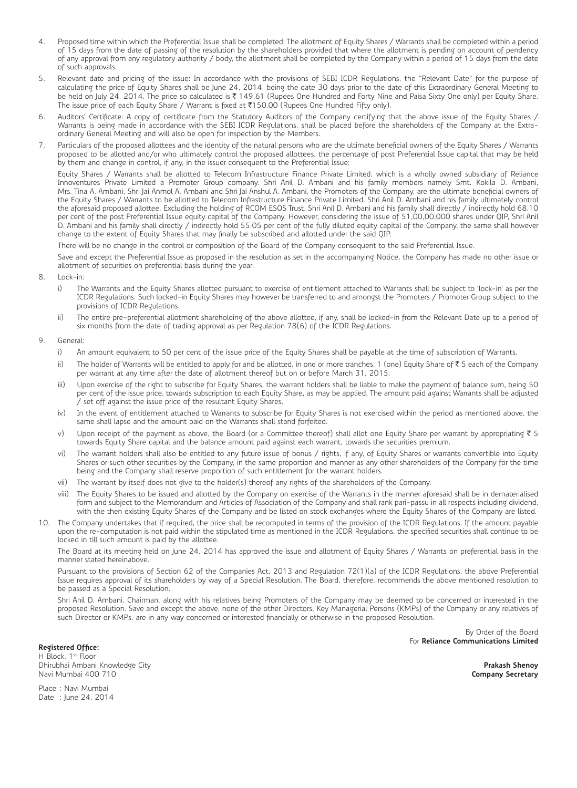- 4. Proposed time within which the Preferential Issue shall be completed: The allotment of Equity Shares / Warrants shall be completed within a period of 15 days from the date of passing of the resolution by the shareholders provided that where the allotment is pending on account of pendency of any approval from any regulatory authority / body, the allotment shall be completed by the Company within a period of 15 days from the date of such approvals.
- 5. Relevant date and pricing of the issue: In accordance with the provisions of SEBI ICDR Regulations, the "Relevant Date" for the purpose of calculating the price of Equity Shares shall be June 24, 2014, being the date 30 days prior to the date of this Extraordinary General Meeting to be held on July 24, 2014. The price so calculated is ₹ 149.61 (Rupees One Hundred and Forty Nine and Paisa Sixty One only) per Equity Share. The issue price of each Equity Share / Warrant is fixed at  $\bar{\tau}$ 150.00 (Rupees One Hundred Fifty only).
- 6. Auditors' Certificate: A copy of certificate from the Statutory Auditors of the Company certifying that the above issue of the Equity Shares / Warrants is being made in accordance with the SEBI ICDR Regulations, shall be placed before the shareholders of the Company at the Extraordinary General Meeting and will also be open for inspection by the Members.
- 7. Particulars of the proposed allottees and the identity of the natural persons who are the ultimate beneficial owners of the Equity Shares / Warrants proposed to be allotted and/or who ultimately control the proposed allottees, the percentage of post Preferential Issue capital that may be held by them and change in control, if any, in the issuer consequent to the Preferential Issue:

Equity Shares / Warrants shall be allotted to Telecom Infrastructure Finance Private Limited, which is a wholly owned subsidiary of Reliance Innoventures Private Limited a Promoter Group company. Shri Anil D. Ambani and his family members namely Smt. Kokila D. Ambani, Mrs. Tina A. Ambani, Shri Jai Anmol A. Ambani and Shri Jai Anshul A. Ambani, the Promoters of the Company, are the ultimate beneficial owners of the Equity Shares / Warrants to be allotted to Telecom Infrastructure Finance Private Limited. Shri Anil D. Ambani and his family ultimately control the aforesaid proposed allottee. Excluding the holding of RCOM ESOS Trust, Shri Anil D. Ambani and his family shall directly / indirectly hold 68.10 per cent of the post Preferential Issue equity capital of the Company. However, considering the issue of 51,00,00,000 shares under QIP, Shri Anil D. Ambani and his family shall directly / indirectly hold 55.05 per cent of the fully diluted equity capital of the Company, the same shall however change to the extent of Equity Shares that may finally be subscribed and allotted under the said QIP.

There will be no change in the control or composition of the Board of the Company consequent to the said Preferential Issue.

Save and except the Preferential Issue as proposed in the resolution as set in the accompanying Notice, the Company has made no other issue or allotment of securities on preferential basis during the year.

- 8. Lock-in:
	- i) The Warrants and the Equity Shares allotted pursuant to exercise of entitlement attached to Warrants shall be subject to 'lock-in' as per the ICDR Regulations. Such locked-in Equity Shares may however be transferred to and amongst the Promoters / Promoter Group subject to the provisions of ICDR Regulations.
	- ii) The entire pre-preferential allotment shareholding of the above allottee, if any, shall be locked-in from the Relevant Date up to a period of six months from the date of trading approval as per Regulation 78(6) of the ICDR Regulations.
- 9. General:
	- i) An amount equivalent to 50 per cent of the issue price of the Equity Shares shall be payable at the time of subscription of Warrants.
	- ii) The holder of Warrants will be entitled to apply for and be allotted, in one or more tranches, 1 (one) Equity Share of ₹ 5 each of the Company per warrant at any time after the date of allotment thereof but on or before March 31, 2015.
	- iii) Upon exercise of the right to subscribe for Equity Shares, the warrant holders shall be liable to make the payment of balance sum, being 50 per cent of the issue price, towards subscription to each Equity Share, as may be applied. The amount paid against Warrants shall be adjusted / set off against the issue price of the resultant Equity Shares.
	- iv) In the event of entitlement attached to Warrants to subscribe for Equity Shares is not exercised within the period as mentioned above, the same shall lapse and the amount paid on the Warrants shall stand forfeited.
	- v) Upon receipt of the payment as above, the Board (or a Committee thereof) shall allot one Equity Share per warrant by appropriating  $\bar{\tau}$  5 towards Equity Share capital and the balance amount paid against each warrant, towards the securities premium.
	- vi) The warrant holders shall also be entitled to any future issue of bonus / rights, if any, of Equity Shares or warrants convertible into Equity Shares or such other securities by the Company, in the same proportion and manner as any other shareholders of the Company for the time being and the Company shall reserve proportion of such entitlement for the warrant holders.
	- vii) The warrant by itself does not give to the holder(s) thereof any rights of the shareholders of the Company.
	- viii) The Equity Shares to be issued and allotted by the Company on exercise of the Warrants in the manner aforesaid shall be in dematerialised form and subject to the Memorandum and Articles of Association of the Company and shall rank pari-passu in all respects including dividend, with the then existing Equity Shares of the Company and be listed on stock exchanges where the Equity Shares of the Company are listed.
- 10. The Company undertakes that if required, the price shall be recomputed in terms of the provision of the ICDR Regulations. If the amount payable upon the re-computation is not paid within the stipulated time as mentioned in the ICDR Regulations, the specified securities shall continue to be locked in till such amount is paid by the allottee.

The Board at its meeting held on June 24, 2014 has approved the issue and allotment of Equity Shares / Warrants on preferential basis in the manner stated hereinabove.

Pursuant to the provisions of Section 62 of the Companies Act, 2013 and Regulation 72(1)(a) of the ICDR Regulations, the above Preferential Issue requires approval of its shareholders by way of a Special Resolution. The Board, therefore, recommends the above mentioned resolution to be passed as a Special Resolution.

Shri Anil D. Ambani, Chairman, along with his relatives being Promoters of the Company may be deemed to be concerned or interested in the proposed Resolution. Save and except the above, none of the other Directors, Key Managerial Persons (KMPs) of the Company or any relatives of such Director or KMPs, are in any way concerned or interested financially or otherwise in the proposed Resolution.

> By Order of the Board For **Reliance Communications Limited**

**Registered Office:** H Block, 1st Floor Dhirubhai Ambani Knowledge City Navi Mumbai 400 710

**Prakash Shenoy Company Secretary**

Place : Navi Mumbai Date : June 24, 2014